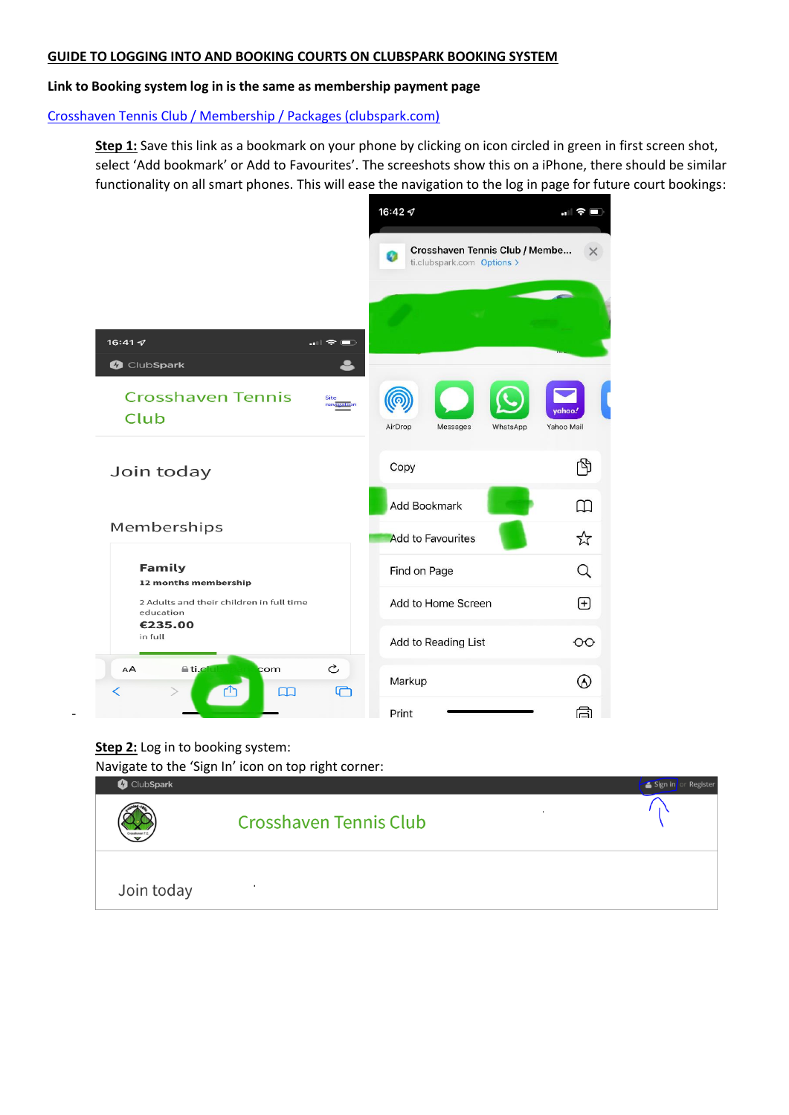## **GUIDE TO LOGGING INTO AND BOOKING COURTS ON CLUBSPARK BOOKING SYSTEM**

## **Link to Booking system log in is the same as membership payment page**

[Crosshaven Tennis Club / Membership / Packages \(clubspark.com\)](https://ti.clubspark.com/CrosshavenTennisClub/Membership/Join)

**Step 1:** Save this link as a bookmark on your phone by clicking on icon circled in green in first screen shot, select 'Add bookmark' or Add to Favourites'. The screeshots show this on a iPhone, there should be similar functionality on all smart phones. This will ease the navigation to the log in page for future court bookings:



## **Step 2:** Log in to booking system:

-

Navigate to the 'Sign In' icon on top right corner:

| ClubSpark  |                               | Sign in or Register |
|------------|-------------------------------|---------------------|
| Crosshaven | <b>Crosshaven Tennis Club</b> |                     |
| Join today |                               |                     |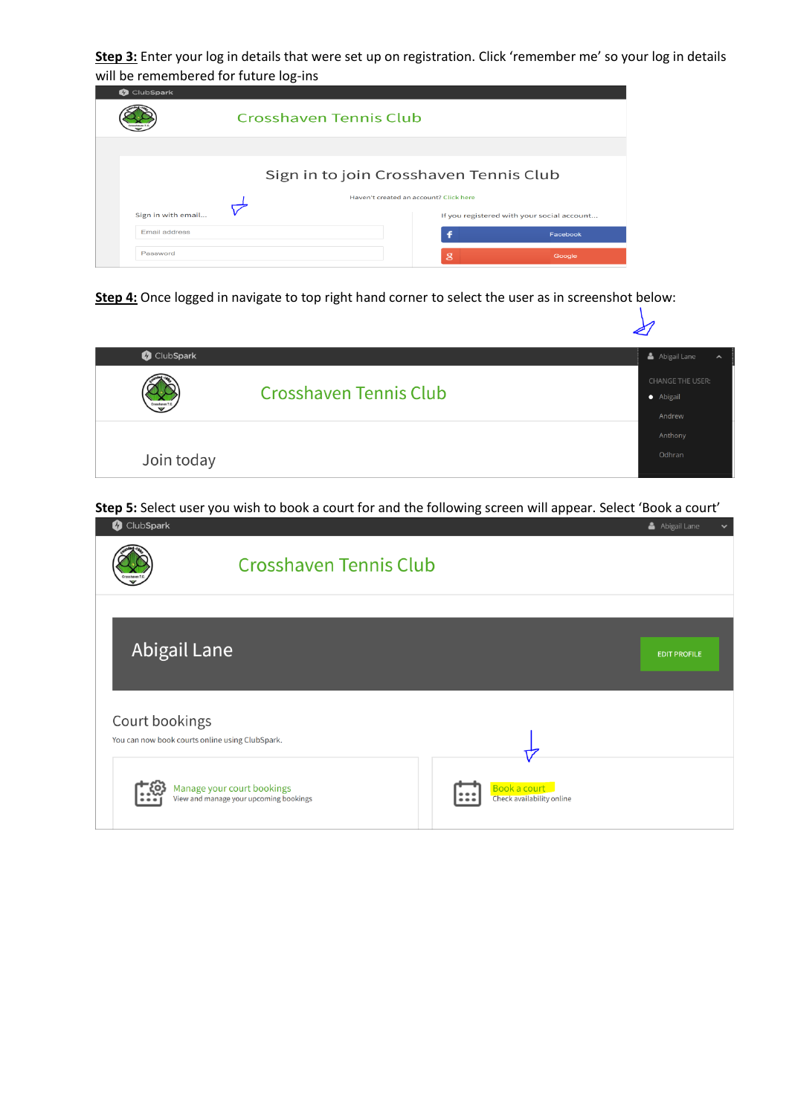**Step 3:** Enter your log in details that were set up on registration. Click 'remember me' so your log in details will be remembered for future log-ins

| <b>O</b> ClubSpark |                                        |                                        |                                            |  |
|--------------------|----------------------------------------|----------------------------------------|--------------------------------------------|--|
|                    | Crosshaven Tennis Club                 |                                        |                                            |  |
|                    |                                        |                                        |                                            |  |
|                    | Sign in to join Crosshaven Tennis Club |                                        |                                            |  |
|                    |                                        | Haven't created an account? Click here |                                            |  |
| Sign in with email |                                        |                                        | If you registered with your social account |  |
| Email address      |                                        |                                        | Facebook                                   |  |
| Password           |                                        | $\mathbf{g}$                           | Google                                     |  |

**Step 4:** Once logged in navigate to top right hand corner to select the user as in screenshot below:

| ClubSpark      | Abigail Lane<br>$\hat{\phantom{a}}$<br>CHANGE THE USER:<br><b>Crosshaven Tennis Club</b><br>• Abigail<br>Andrew<br>Anthony<br>Odhran |  |
|----------------|--------------------------------------------------------------------------------------------------------------------------------------|--|
| Crossharen T.O |                                                                                                                                      |  |
| Join today     |                                                                                                                                      |  |

**Step 5:** Select user you wish to book a court for and the following screen will appear. Select 'Book a court'

| ClubSpark<br>Ø.                                                   |                                                                      |                                           | Abigail Lane<br>$\checkmark$ |
|-------------------------------------------------------------------|----------------------------------------------------------------------|-------------------------------------------|------------------------------|
|                                                                   | <b>Crosshaven Tennis Club</b>                                        |                                           |                              |
| <b>Abigail Lane</b>                                               |                                                                      |                                           | <b>EDIT PROFILE</b>          |
| Court bookings<br>You can now book courts online using ClubSpark. |                                                                      |                                           |                              |
|                                                                   | Manage your court bookings<br>View and manage your upcoming bookings | Book a court<br>Check availability online |                              |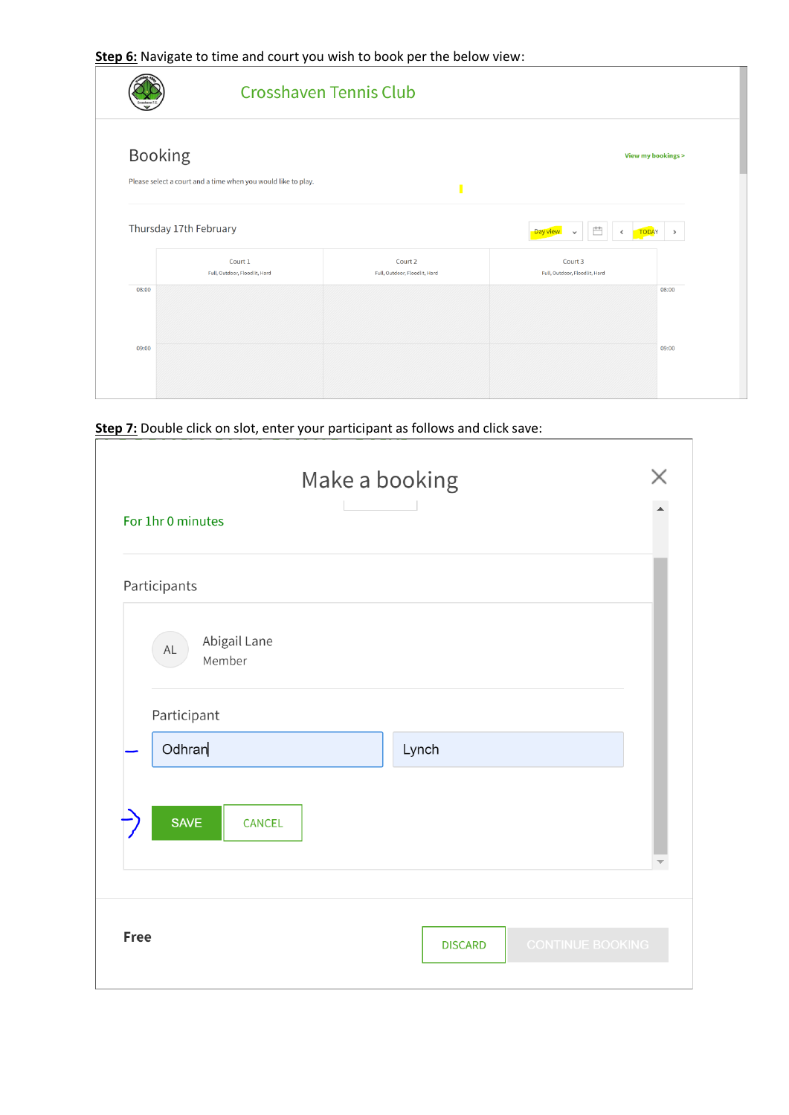**Step 6:** Navigate to time and court you wish to book per the below view:

|                |                                                               | <b>Crosshaven Tennis Club</b>            |                                                            |                    |
|----------------|---------------------------------------------------------------|------------------------------------------|------------------------------------------------------------|--------------------|
| <b>Booking</b> | Please select a court and a time when you would like to play. |                                          |                                                            | View my bookings > |
|                | Thursday 17th February                                        |                                          | Ë<br>Day view<br><b>TODAY</b><br>$\check{ }$<br>$\epsilon$ | $\,$               |
|                | Court 1<br>Full, Outdoor, Floodlit, Hard                      | Court 2<br>Full, Outdoor, Floodlit, Hard | Court 3<br>Full, Outdoor, Floodlit, Hard                   |                    |
| 08:00          |                                                               |                                          |                                                            | 08:00              |
| 09:00          |                                                               |                                          |                                                            | 09:00              |

 $\overline{\phantom{a}}$ 

**Step 7:** Double click on slot, enter your participant as follows and click save:

| For 1hr 0 minutes                                      | Make a booking                            |  |
|--------------------------------------------------------|-------------------------------------------|--|
| Participants                                           |                                           |  |
| Abigail Lane<br>$\mathsf{AL}$<br>Member<br>Participant |                                           |  |
| Odhran                                                 | Lynch                                     |  |
| <b>SAVE</b><br><b>CANCEL</b>                           |                                           |  |
| <b>Free</b>                                            | <b>CONTINUE BOOKING</b><br><b>DISCARD</b> |  |